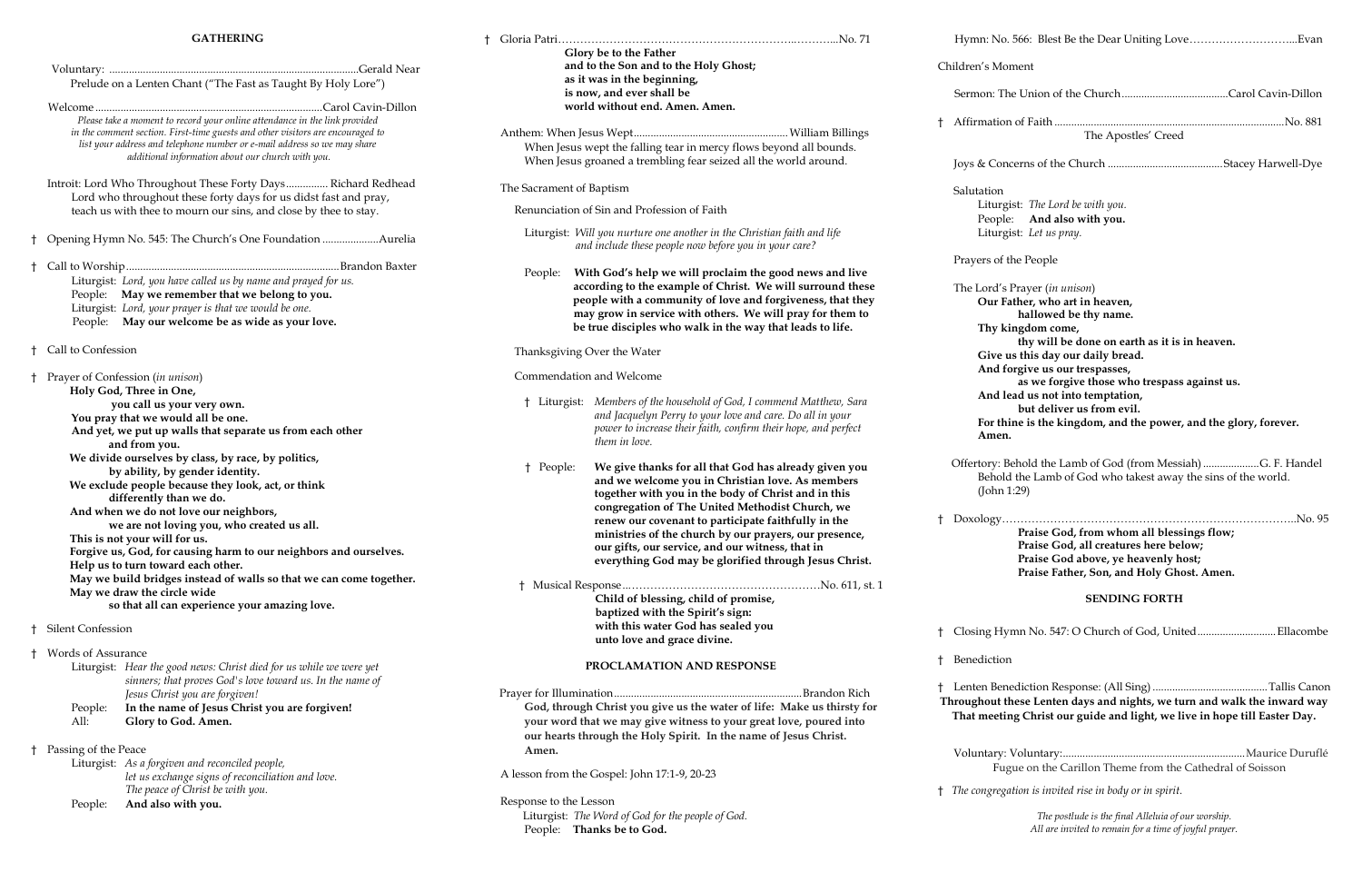### **GATHERING**

|              | Prelude on a Lenten Chant ("The Fast as Taught By Holy Lore")<br>Please take a moment to record your online attendance in the link provided<br>in the comment section. First-time guests and other visitors are encouraged to                                                                                                                                                                                                                                                                                                                                                                                                                                                                                                                                                       |                                                                                                                                           | GIOTY DE TO THE FATHE<br>and to the Son and to<br>as it was in the begin<br>is now, and ever shal<br>world without end. /<br>Anthem: When Jesus Wept                                                                                                                                                                                               |  |
|--------------|-------------------------------------------------------------------------------------------------------------------------------------------------------------------------------------------------------------------------------------------------------------------------------------------------------------------------------------------------------------------------------------------------------------------------------------------------------------------------------------------------------------------------------------------------------------------------------------------------------------------------------------------------------------------------------------------------------------------------------------------------------------------------------------|-------------------------------------------------------------------------------------------------------------------------------------------|----------------------------------------------------------------------------------------------------------------------------------------------------------------------------------------------------------------------------------------------------------------------------------------------------------------------------------------------------|--|
|              | list your address and telephone number or e-mail address so we may share<br>additional information about our church with you.                                                                                                                                                                                                                                                                                                                                                                                                                                                                                                                                                                                                                                                       |                                                                                                                                           | When Jesus wept the falling t<br>When Jesus groaned a trembl                                                                                                                                                                                                                                                                                       |  |
|              | Introit: Lord Who Throughout These Forty Days Richard Redhead<br>Lord who throughout these forty days for us didst fast and pray,                                                                                                                                                                                                                                                                                                                                                                                                                                                                                                                                                                                                                                                   | The Sacrament of Baptism                                                                                                                  |                                                                                                                                                                                                                                                                                                                                                    |  |
|              | teach us with thee to mourn our sins, and close by thee to stay.                                                                                                                                                                                                                                                                                                                                                                                                                                                                                                                                                                                                                                                                                                                    |                                                                                                                                           | Renunciation of Sin and Profess                                                                                                                                                                                                                                                                                                                    |  |
|              | † Opening Hymn No. 545: The Church's One Foundation Aurelia                                                                                                                                                                                                                                                                                                                                                                                                                                                                                                                                                                                                                                                                                                                         |                                                                                                                                           | Liturgist: Will you nurture one<br>and include these ped                                                                                                                                                                                                                                                                                           |  |
| $^{\dagger}$ | Liturgist: Lord, you have called us by name and prayed for us.<br>People: May we remember that we belong to you.<br>Liturgist: Lord, your prayer is that we would be one.<br>People: May our welcome be as wide as your love.                                                                                                                                                                                                                                                                                                                                                                                                                                                                                                                                                       | People:                                                                                                                                   | With God's help w<br>according to the ex<br>people with a comi<br>may grow in servic<br>be true disciples w                                                                                                                                                                                                                                        |  |
| t.           | Call to Confession                                                                                                                                                                                                                                                                                                                                                                                                                                                                                                                                                                                                                                                                                                                                                                  |                                                                                                                                           | Thanksgiving Over the Water                                                                                                                                                                                                                                                                                                                        |  |
| t.           | Prayer of Confession (in unison)<br>Holy God, Three in One,<br>you call us your very own.<br>You pray that we would all be one.<br>And yet, we put up walls that separate us from each other<br>and from you.<br>We divide ourselves by class, by race, by politics,<br>by ability, by gender identity.<br>We exclude people because they look, act, or think<br>differently than we do.<br>And when we do not love our neighbors,<br>we are not loving you, who created us all.<br>This is not your will for us.<br>Forgive us, God, for causing harm to our neighbors and ourselves.<br>Help us to turn toward each other.<br>May we build bridges instead of walls so that we can come together.<br>May we draw the circle wide<br>so that all can experience your amazing love. | † People:                                                                                                                                 | Commendation and Welcome<br>† Liturgist: Members of the l<br>and Jacquelyn Po<br>power to increase<br>them in love.<br>We give thank<br>and we welcon<br>together with y<br>congregation o<br>renew our cove<br>ministries of th<br>our gifts, our s<br>everything Go<br>† Musical Response<br>Child of blessi<br>baptized with<br>with this water |  |
|              | Silent Confession                                                                                                                                                                                                                                                                                                                                                                                                                                                                                                                                                                                                                                                                                                                                                                   |                                                                                                                                           | unto love and                                                                                                                                                                                                                                                                                                                                      |  |
| t.           | <b>Words of Assurance</b><br>Liturgist: Hear the good news: Christ died for us while we were yet<br>sinners; that proves God's love toward us. In the name of<br>Jesus Christ you are forgiven!<br>In the name of Jesus Christ you are forgiven!<br>People:<br>All:<br>Glory to God. Amen.                                                                                                                                                                                                                                                                                                                                                                                                                                                                                          | <b>PROCLAMATIO</b><br>Prayer for Illumination<br>God, through Christ you giv<br>your word that we may give<br>our hearts through the Holy |                                                                                                                                                                                                                                                                                                                                                    |  |
| $^{\dagger}$ | Passing of the Peace<br>Liturgist: As a forgiven and reconciled people,<br>let us exchange signs of reconciliation and love.<br>The peace of Christ be with you.<br>And also with you.<br>People:                                                                                                                                                                                                                                                                                                                                                                                                                                                                                                                                                                                   | Amen.<br>Response to the Lesson                                                                                                           | A lesson from the Gospel: John 17:<br>Liturgist: The Word of God for                                                                                                                                                                                                                                                                               |  |
|              |                                                                                                                                                                                                                                                                                                                                                                                                                                                                                                                                                                                                                                                                                                                                                                                     |                                                                                                                                           | People: Thanks be to God.                                                                                                                                                                                                                                                                                                                          |  |

|  |                                                                         | Glory be to the Father                                                                                                                                                                                                                             |    | Hymn: No. 566:                                                |
|--|-------------------------------------------------------------------------|----------------------------------------------------------------------------------------------------------------------------------------------------------------------------------------------------------------------------------------------------|----|---------------------------------------------------------------|
|  |                                                                         | and to the Son and to the Holy Ghost;<br>as it was in the beginning,                                                                                                                                                                               |    | Children's Moment                                             |
|  |                                                                         | is now, and ever shall be<br>world without end. Amen. Amen.                                                                                                                                                                                        |    | Sermon: The Un                                                |
|  |                                                                         | When Jesus wept the falling tear in mercy flows beyond all bounds.                                                                                                                                                                                 | t. | Affirmation of F                                              |
|  |                                                                         | When Jesus groaned a trembling fear seized all the world around.                                                                                                                                                                                   |    | Joys & Concerns                                               |
|  | The Sacrament of Baptism<br>Renunciation of Sin and Profession of Faith |                                                                                                                                                                                                                                                    |    | Salutation                                                    |
|  |                                                                         |                                                                                                                                                                                                                                                    |    | Liturgist: 7<br>People: <i>A</i>                              |
|  |                                                                         | Liturgist: Will you nurture one another in the Christian faith and life<br>and include these people now before you in your care?                                                                                                                   |    | Liturgist: L                                                  |
|  | People:                                                                 | With God's help we will proclaim the good news and live                                                                                                                                                                                            |    | Prayers of the Pe                                             |
|  |                                                                         | according to the example of Christ. We will surround these<br>people with a community of love and forgiveness, that they<br>may grow in service with others. We will pray for them to<br>be true disciples who walk in the way that leads to life. |    | The Lord's Pray<br>Our Father<br>hal<br>Thy kingdo            |
|  |                                                                         | Thanksgiving Over the Water                                                                                                                                                                                                                        |    | thy<br>Give us thi                                            |
|  |                                                                         | Commendation and Welcome                                                                                                                                                                                                                           |    | And forgiv<br>as y                                            |
|  |                                                                         | <sup>†</sup> Liturgist: Members of the household of God, I commend Matthew, Sara<br>and Jacquelyn Perry to your love and care. Do all in your<br>power to increase their faith, confirm their hope, and perfect<br>them in love.                   |    | And lead u<br>but<br>For thine is<br>Amen.                    |
|  | † People:                                                               | We give thanks for all that God has already given you<br>and we welcome you in Christian love. As members<br>together with you in the body of Christ and in this<br>congregation of The United Methodist Church, we                                |    | Offertory: Beholo<br>Behold the<br>(John 1:29)                |
|  |                                                                         | renew our covenant to participate faithfully in the<br>ministries of the church by our prayers, our presence,<br>our gifts, our service, and our witness, that in<br>everything God may be glorified through Jesus Christ.                         | Ť. | Doxology<br>Pra<br>Pra<br>Pra<br>Pra                          |
|  |                                                                         | Child of blessing, child of promise,<br>baptized with the Spirit's sign:                                                                                                                                                                           |    |                                                               |
|  |                                                                         | with this water God has sealed you<br>unto love and grace divine.                                                                                                                                                                                  | Ť. | Closing Hymn N                                                |
|  |                                                                         | PROCLAMATION AND RESPONSE                                                                                                                                                                                                                          | Ť. | Benediction                                                   |
|  |                                                                         | God, through Christ you give us the water of life: Make us thirsty for<br>your word that we may give witness to your great love, poured into<br>our hearts through the Holy Spirit. In the name of Jesus Christ.                                   |    | Lenten Benedict<br><b>Throughout these</b><br>That meeting Cl |
|  | Amen.                                                                   |                                                                                                                                                                                                                                                    |    | Voluntary: Volu<br>Fugue of                                   |
|  |                                                                         | A lesson from the Gospel: John 17:1-9, 20-23                                                                                                                                                                                                       |    | † The congregation                                            |
|  | Response to the Lesson                                                  | Liturgist: The Word of God for the people of God.                                                                                                                                                                                                  |    |                                                               |

| Children's Moment |                                                                                                                                                                                                                                                                                                                                                        |  |  |  |  |
|-------------------|--------------------------------------------------------------------------------------------------------------------------------------------------------------------------------------------------------------------------------------------------------------------------------------------------------------------------------------------------------|--|--|--|--|
|                   |                                                                                                                                                                                                                                                                                                                                                        |  |  |  |  |
| t.                | The Apostles' Creed                                                                                                                                                                                                                                                                                                                                    |  |  |  |  |
|                   |                                                                                                                                                                                                                                                                                                                                                        |  |  |  |  |
|                   | Salutation<br>Liturgist: The Lord be with you.<br>People: And also with you.<br>Liturgist: Let us pray.                                                                                                                                                                                                                                                |  |  |  |  |
|                   | Prayers of the People                                                                                                                                                                                                                                                                                                                                  |  |  |  |  |
|                   | The Lord's Prayer (in unison)<br>Our Father, who art in heaven,<br>hallowed be thy name.<br>Thy kingdom come,<br>thy will be done on earth as it is in heaven.<br>Give us this day our daily bread.<br>And forgive us our trespasses,<br>as we forgive those who trespass against us.<br>And lead us not into temptation,<br>but deliver us from evil. |  |  |  |  |
|                   | For thine is the kingdom, and the power, and the glory, forever.                                                                                                                                                                                                                                                                                       |  |  |  |  |

Behold the Lamb of God (from Messiah).....................G. F. Handel old the Lamb of God who takest away the sins of the world. n 1:29)

† Doxology……………………………………………………………………..No. 95 **Praise God, from whom all blessings flow; Praise God, all creatures here below; Praise God above, ye heavenly host; Praise Father, Son, and Holy Ghost. Amen.**

#### **SENDING FORTH**

Hymn No. 547: O Church of God, United..............................Ellacombe

† Lenten Benediction Response: (All Sing).........................................Tallis Canon these Lenten days and nights, we turn and walk the inward way **That meeting Christ our guide and light, we live in hope till Easter Day.**

Voluntary: Voluntary:.................................................................Maurice Duruflé Fugue on the Carillon Theme from the Cathedral of Soisson

† *The congregation is invited rise in body or in spirit.* 

*The postlude is the final Alleluia of our worship. All are invited to remain for a time of joyful prayer.*